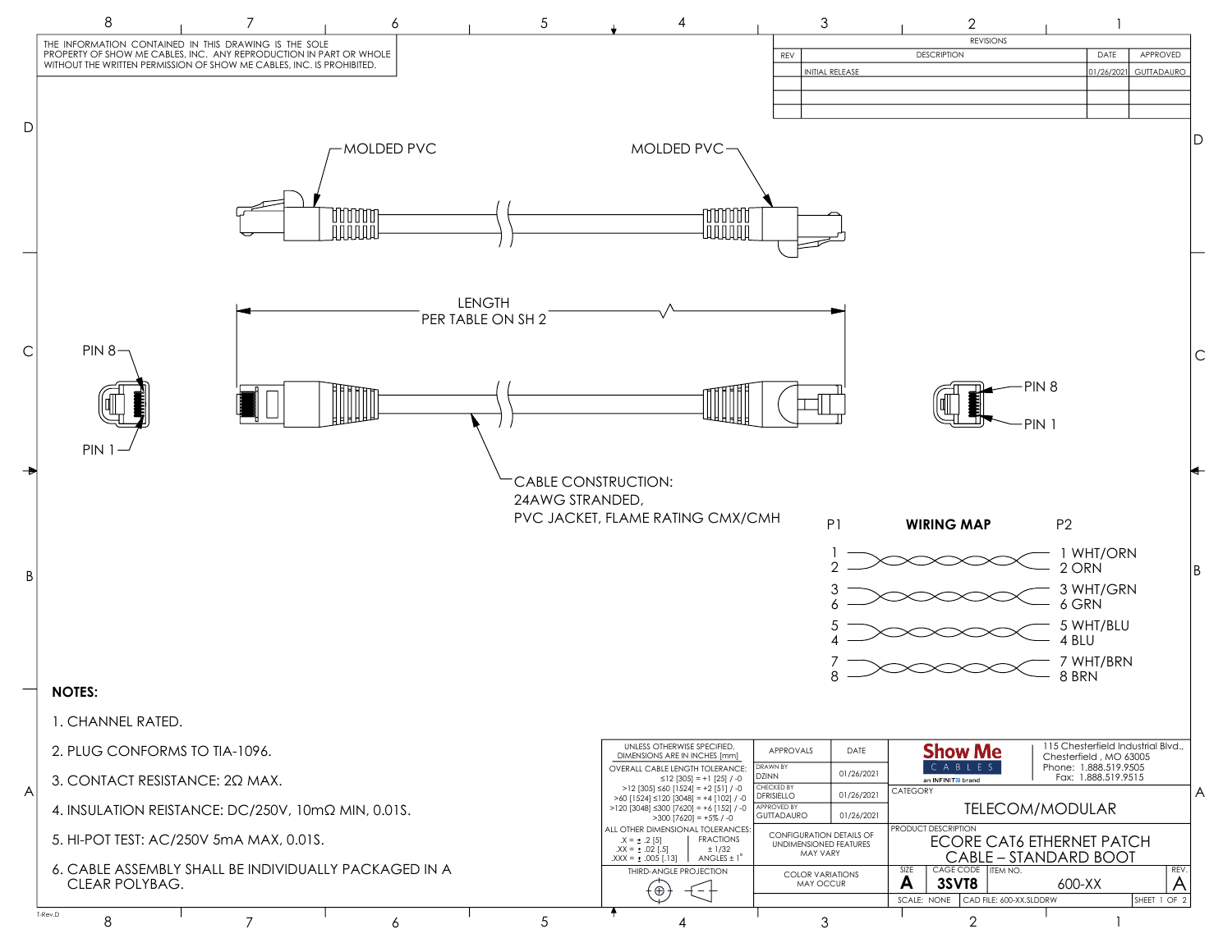